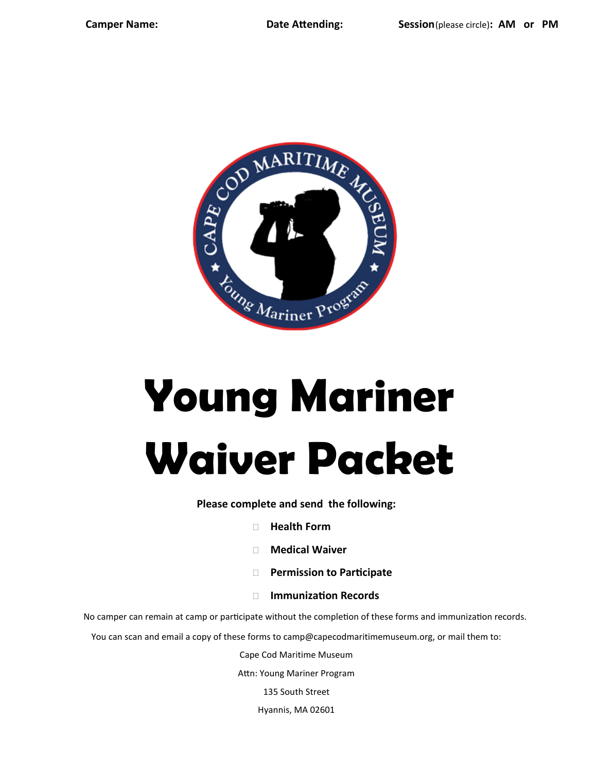

# **Young Mariner Waiver Packet**

**Please complete and send the following:** 

- **Health Form**
- **Medical Waiver**
- **Permission to Participate**
- **Immunization Records**

No camper can remain at camp or participate without the completion of these forms and immunization records.

You can scan and email a copy of these forms to camp@capecodmaritimemuseum.org, or mail them to:

Cape Cod Maritime Museum

Attn: Young Mariner Program

135 South Street

Hyannis, MA 02601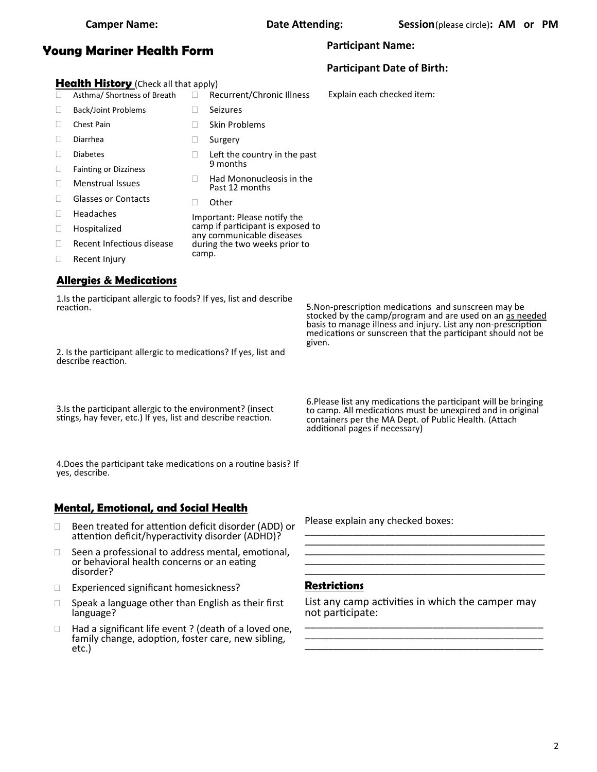### **Young Mariner Health Form**

#### **Participant Name:**

#### **Participant Date of Birth:**

Explain each checked item:

**Health History** (Check all that apply) Asthma/ Shortness of Breath □ Recurrent/Chronic Illness

- □ Back/Joint Problems □ Chest Pain Diarrhea Diabetes □ Fainting or Dizziness Menstrual Issues Glasses or Contacts Headaches Hospitalized Seizures □ Skin Problems □ Surgery  $\Box$  Left the country in the past 9 months  $\Box$  Had Mononucleosis in the Past 12 months Other Important: Please notify the camp if participant is exposed to any communicable diseases during the two weeks prior to
- □ Recent Infectious disease
- Recent Injury

#### **Allergies & Medications**

1.Is the participant allergic to foods? If yes, list and describe reaction.

camp.

2. Is the participant allergic to medications? If yes, list and describe reaction.

3.Is the participant allergic to the environment? (insect stings, hay fever, etc.) If yes, list and describe reaction.

4.Does the participant take medications on a routine basis? If yes, describe.

#### **Mental, Emotional, and Social Health**

- □ Been treated for attention deficit disorder (ADD) or attention deficit/hyperactivity disorder (ADHD)?
- $\Box$  Seen a professional to address mental, emotional, or behavioral health concerns or an eating disorder?
- Experienced significant homesickness?
- $\Box$  Speak a language other than English as their first language?
- $\Box$  Had a significant life event ? (death of a loved one, family change, adoption, foster care, new sibling, etc.)

Please explain any checked boxes: \_\_\_\_\_\_\_\_\_\_\_\_\_\_\_\_\_\_\_\_\_\_\_\_\_\_\_\_\_\_\_\_\_\_\_\_\_\_\_\_\_\_\_\_\_

#### **Restrictions**

List any camp activities in which the camper may not participate: \_\_\_\_\_\_\_\_\_\_\_\_\_\_\_\_\_\_\_\_\_\_\_\_\_\_\_\_\_\_\_\_\_\_\_\_\_\_\_\_\_

\_\_\_\_\_\_\_\_\_\_\_\_\_\_\_\_\_\_\_\_\_\_\_\_\_\_\_\_\_\_\_\_\_\_\_\_\_\_\_\_\_ \_\_\_\_\_\_\_\_\_\_\_\_\_\_\_\_\_\_\_\_\_\_\_\_\_\_\_\_\_\_\_\_\_\_\_\_\_\_\_\_\_

\_\_\_\_\_\_\_\_\_\_\_\_\_\_\_\_\_\_\_\_\_\_\_\_\_\_\_\_\_\_\_\_\_\_\_\_\_\_\_\_\_\_\_\_\_ \_\_\_\_\_\_\_\_\_\_\_\_\_\_\_\_\_\_\_\_\_\_\_\_\_\_\_\_\_\_\_\_\_\_\_\_\_\_\_\_\_\_\_\_\_ \_\_\_\_\_\_\_\_\_\_\_\_\_\_\_\_\_\_\_\_\_\_\_\_\_\_\_\_\_\_\_\_\_\_\_\_\_\_\_\_\_\_\_\_\_ \_\_\_\_\_\_\_\_\_\_\_\_\_\_\_\_\_\_\_\_\_\_\_\_\_\_\_\_\_\_\_\_\_\_\_\_\_\_\_\_\_\_\_\_\_

5.Non-prescription medications and sunscreen may be stocked by the camp/program and are used on an as needed basis to manage illness and injury. List any non-prescription medications or sunscreen that the participant should not be given.

6.Please list any medications the participant will be bringing to camp. All medications must be unexpired and in original containers per the MA Dept. of Public Health. (Attach additional pages if necessary)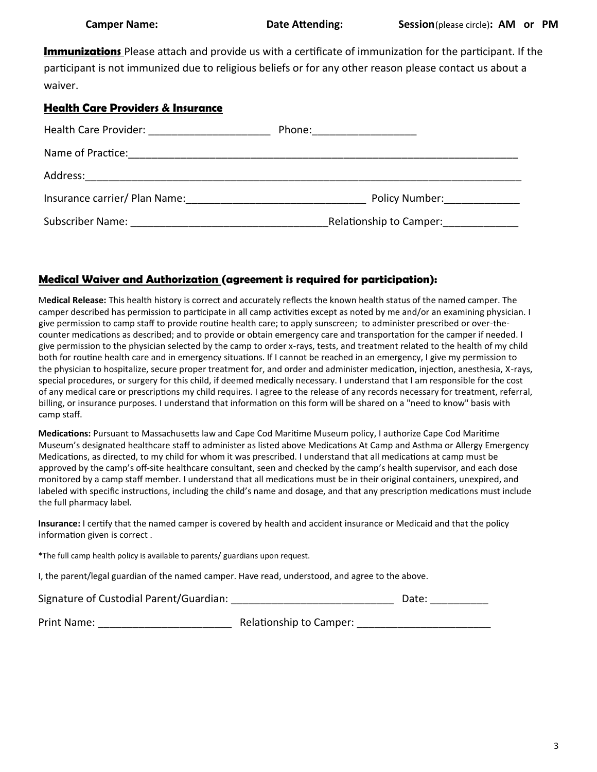**Immunizations** Please attach and provide us with a certificate of immunization for the participant. If the participant is not immunized due to religious beliefs or for any other reason please contact us about a waiver.

#### **Health Care Providers & Insurance**

| Health Care Provider: Nealth Care Provider:                                       | Phone: ________________                                                                                         |
|-----------------------------------------------------------------------------------|-----------------------------------------------------------------------------------------------------------------|
| Name of Practice:<br><u> 1990 - Johann Stein, Amerikaansk politiker (</u> † 1922) |                                                                                                                 |
| Address:                                                                          |                                                                                                                 |
| Insurance carrier/ Plan Name:                                                     | Policy Number: Note that the set of the set of the set of the set of the set of the set of the set of the set o |
|                                                                                   | Relationship to Camper:                                                                                         |

#### **Medical Waiver and Authorization (agreement is required for participation):**

M**edical Release:** This health history is correct and accurately reflects the known health status of the named camper. The camper described has permission to participate in all camp activities except as noted by me and/or an examining physician. I give permission to camp staff to provide routine health care; to apply sunscreen; to administer prescribed or over-thecounter medications as described; and to provide or obtain emergency care and transportation for the camper if needed. I give permission to the physician selected by the camp to order x-rays, tests, and treatment related to the health of my child both for routine health care and in emergency situations. If I cannot be reached in an emergency, I give my permission to the physician to hospitalize, secure proper treatment for, and order and administer medication, injection, anesthesia, X-rays, special procedures, or surgery for this child, if deemed medically necessary. I understand that I am responsible for the cost of any medical care or prescriptions my child requires. I agree to the release of any records necessary for treatment, referral, billing, or insurance purposes. I understand that information on this form will be shared on a "need to know" basis with camp staff.

**Medications:** Pursuant to Massachusetts law and Cape Cod Maritime Museum policy, I authorize Cape Cod Maritime Museum's designated healthcare staff to administer as listed above Medications At Camp and Asthma or Allergy Emergency Medications, as directed, to my child for whom it was prescribed. I understand that all medications at camp must be approved by the camp's off-site healthcare consultant, seen and checked by the camp's health supervisor, and each dose monitored by a camp staff member. I understand that all medications must be in their original containers, unexpired, and labeled with specific instructions, including the child's name and dosage, and that any prescription medications must include the full pharmacy label.

**Insurance:** I certify that the named camper is covered by health and accident insurance or Medicaid and that the policy information given is correct .

\*The full camp health policy is available to parents/ guardians upon request.

I, the parent/legal guardian of the named camper. Have read, understood, and agree to the above.

| Signature of Custodial Parent/Guardian: |  | Date: |
|-----------------------------------------|--|-------|
|-----------------------------------------|--|-------|

Print Name: \_\_\_\_\_\_\_\_\_\_\_\_\_\_\_\_\_\_\_\_\_\_\_ Relationship to Camper: \_\_\_\_\_\_\_\_\_\_\_\_\_\_\_\_\_\_\_\_\_\_\_